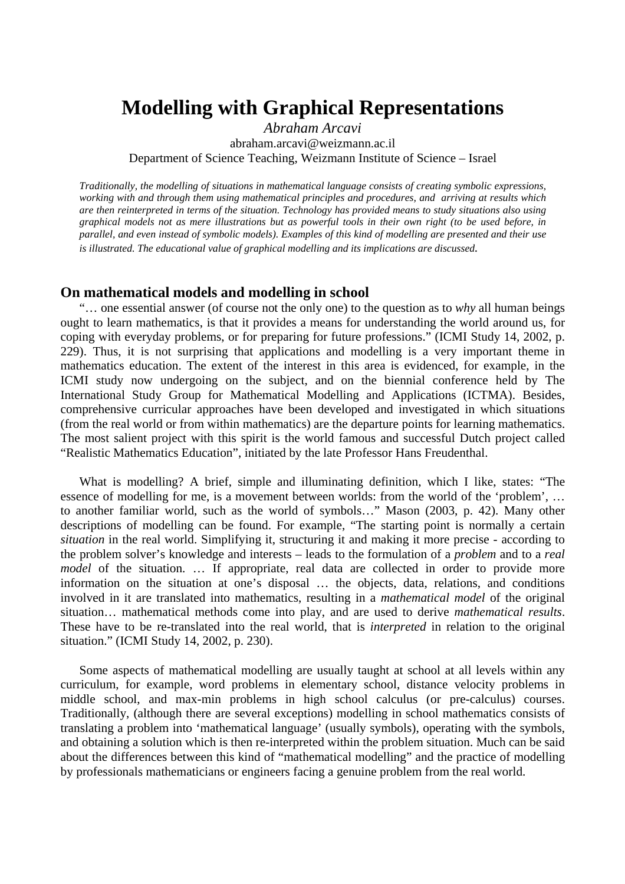# **Modelling with Graphical Representations**

*Abraham Arcavi*  abraham.arcavi@weizmann.ac.il Department of Science Teaching, Weizmann Institute of Science – Israel

*Traditionally, the modelling of situations in mathematical language consists of creating symbolic expressions, working with and through them using mathematical principles and procedures, and arriving at results which are then reinterpreted in terms of the situation. Technology has provided means to study situations also using graphical models not as mere illustrations but as powerful tools in their own right (to be used before, in parallel, and even instead of symbolic models). Examples of this kind of modelling are presented and their use is illustrated. The educational value of graphical modelling and its implications are discussed.* 

#### **On mathematical models and modelling in school**

 "… one essential answer (of course not the only one) to the question as to *why* all human beings ought to learn mathematics, is that it provides a means for understanding the world around us, for coping with everyday problems, or for preparing for future professions." (ICMI Study 14, 2002, p. 229). Thus, it is not surprising that applications and modelling is a very important theme in mathematics education. The extent of the interest in this area is evidenced, for example, in the ICMI study now undergoing on the subject, and on the biennial conference held by The International Study Group for Mathematical Modelling and Applications (ICTMA). Besides, comprehensive curricular approaches have been developed and investigated in which situations (from the real world or from within mathematics) are the departure points for learning mathematics. The most salient project with this spirit is the world famous and successful Dutch project called "Realistic Mathematics Education", initiated by the late Professor Hans Freudenthal.

 What is modelling? A brief, simple and illuminating definition, which I like, states: "The essence of modelling for me, is a movement between worlds: from the world of the 'problem', … to another familiar world, such as the world of symbols…" Mason (2003, p. 42). Many other descriptions of modelling can be found. For example, "The starting point is normally a certain *situation* in the real world. Simplifying it, structuring it and making it more precise - according to the problem solver's knowledge and interests – leads to the formulation of a *problem* and to a *real model* of the situation. ... If appropriate, real data are collected in order to provide more information on the situation at one's disposal … the objects, data, relations, and conditions involved in it are translated into mathematics, resulting in a *mathematical model* of the original situation… mathematical methods come into play, and are used to derive *mathematical results*. These have to be re-translated into the real world, that is *interpreted* in relation to the original situation." (ICMI Study 14, 2002, p. 230).

 Some aspects of mathematical modelling are usually taught at school at all levels within any curriculum, for example, word problems in elementary school, distance velocity problems in middle school, and max-min problems in high school calculus (or pre-calculus) courses. Traditionally, (although there are several exceptions) modelling in school mathematics consists of translating a problem into 'mathematical language' (usually symbols), operating with the symbols, and obtaining a solution which is then re-interpreted within the problem situation. Much can be said about the differences between this kind of "mathematical modelling" and the practice of modelling by professionals mathematicians or engineers facing a genuine problem from the real world.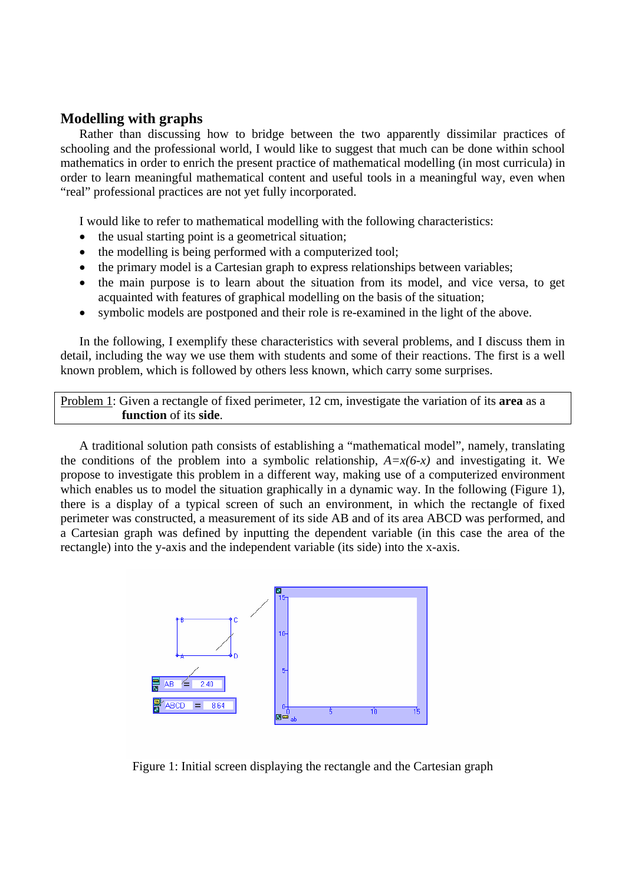## **Modelling with graphs**

Rather than discussing how to bridge between the two apparently dissimilar practices of schooling and the professional world, I would like to suggest that much can be done within school mathematics in order to enrich the present practice of mathematical modelling (in most curricula) in order to learn meaningful mathematical content and useful tools in a meaningful way, even when "real" professional practices are not yet fully incorporated.

I would like to refer to mathematical modelling with the following characteristics:

- the usual starting point is a geometrical situation;
- the modelling is being performed with a computerized tool;
- the primary model is a Cartesian graph to express relationships between variables;
- the main purpose is to learn about the situation from its model, and vice versa, to get acquainted with features of graphical modelling on the basis of the situation;
- symbolic models are postponed and their role is re-examined in the light of the above.

In the following, I exemplify these characteristics with several problems, and I discuss them in detail, including the way we use them with students and some of their reactions. The first is a well known problem, which is followed by others less known, which carry some surprises.

Problem 1: Given a rectangle of fixed perimeter, 12 cm, investigate the variation of its **area** as a **function** of its **side**.

A traditional solution path consists of establishing a "mathematical model", namely, translating the conditions of the problem into a symbolic relationship,  $A=x(6-x)$  and investigating it. We propose to investigate this problem in a different way, making use of a computerized environment which enables us to model the situation graphically in a dynamic way. In the following (Figure 1), there is a display of a typical screen of such an environment, in which the rectangle of fixed perimeter was constructed, a measurement of its side AB and of its area ABCD was performed, and a Cartesian graph was defined by inputting the dependent variable (in this case the area of the rectangle) into the y-axis and the independent variable (its side) into the x-axis.



Figure 1: Initial screen displaying the rectangle and the Cartesian graph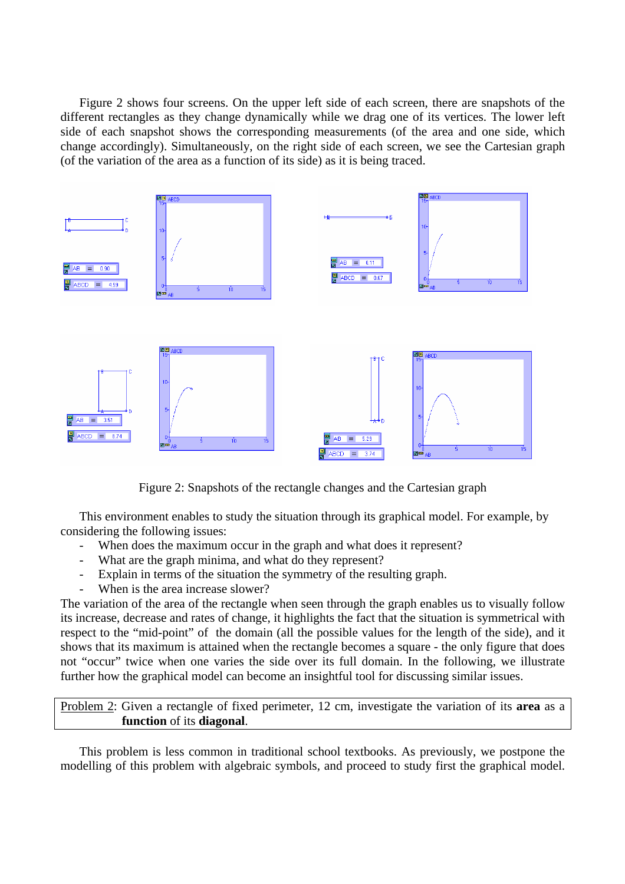Figure 2 shows four screens. On the upper left side of each screen, there are snapshots of the different rectangles as they change dynamically while we drag one of its vertices. The lower left side of each snapshot shows the corresponding measurements (of the area and one side, which change accordingly). Simultaneously, on the right side of each screen, we see the Cartesian graph (of the variation of the area as a function of its side) as it is being traced.



Figure 2: Snapshots of the rectangle changes and the Cartesian graph

This environment enables to study the situation through its graphical model. For example, by considering the following issues:

- When does the maximum occur in the graph and what does it represent?<br>- What are the graph minima, and what do they represent?
- What are the graph minima, and what do they represent?
- Explain in terms of the situation the symmetry of the resulting graph.
- When is the area increase slower?

The variation of the area of the rectangle when seen through the graph enables us to visually follow its increase, decrease and rates of change, it highlights the fact that the situation is symmetrical with respect to the "mid-point" of the domain (all the possible values for the length of the side), and it shows that its maximum is attained when the rectangle becomes a square - the only figure that does not "occur" twice when one varies the side over its full domain. In the following, we illustrate further how the graphical model can become an insightful tool for discussing similar issues.

Problem 2: Given a rectangle of fixed perimeter, 12 cm, investigate the variation of its **area** as a **function** of its **diagonal**.

This problem is less common in traditional school textbooks. As previously, we postpone the modelling of this problem with algebraic symbols, and proceed to study first the graphical model.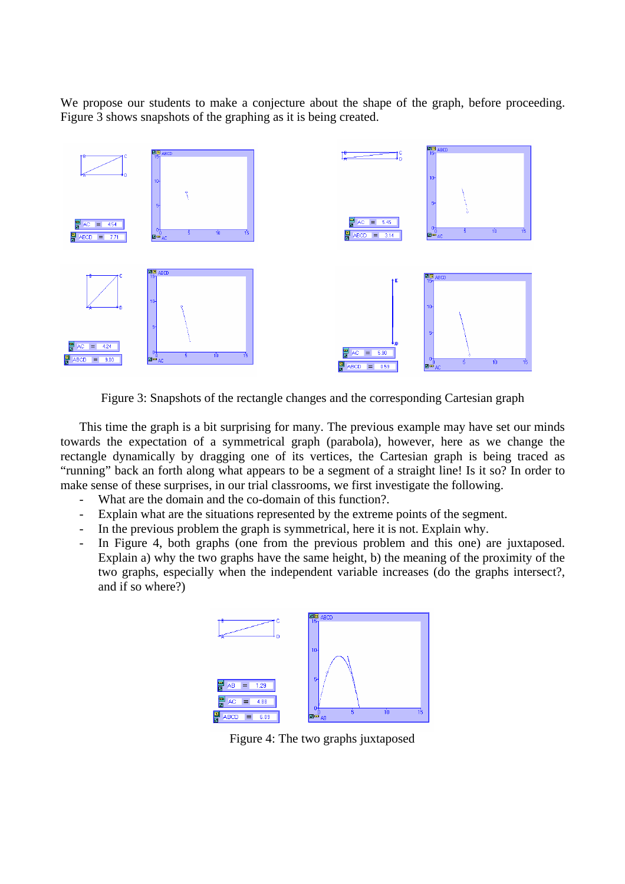We propose our students to make a conjecture about the shape of the graph, before proceeding. Figure 3 shows snapshots of the graphing as it is being created.



Figure 3: Snapshots of the rectangle changes and the corresponding Cartesian graph

This time the graph is a bit surprising for many. The previous example may have set our minds towards the expectation of a symmetrical graph (parabola), however, here as we change the rectangle dynamically by dragging one of its vertices, the Cartesian graph is being traced as "running" back an forth along what appears to be a segment of a straight line! Is it so? In order to make sense of these surprises, in our trial classrooms, we first investigate the following.

- What are the domain and the co-domain of this function?.
- Explain what are the situations represented by the extreme points of the segment.
- In the previous problem the graph is symmetrical, here it is not. Explain why.
- In Figure 4, both graphs (one from the previous problem and this one) are juxtaposed. Explain a) why the two graphs have the same height, b) the meaning of the proximity of the two graphs, especially when the independent variable increases (do the graphs intersect?, and if so where?)



Figure 4: The two graphs juxtaposed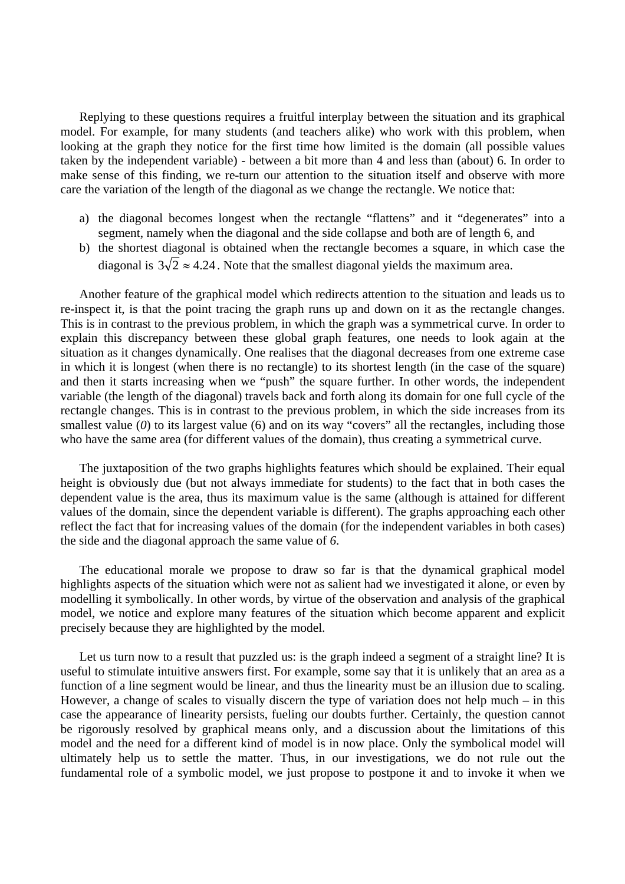Replying to these questions requires a fruitful interplay between the situation and its graphical model. For example, for many students (and teachers alike) who work with this problem, when looking at the graph they notice for the first time how limited is the domain (all possible values taken by the independent variable) - between a bit more than 4 and less than (about) 6. In order to make sense of this finding, we re-turn our attention to the situation itself and observe with more care the variation of the length of the diagonal as we change the rectangle. We notice that:

- a) the diagonal becomes longest when the rectangle "flattens" and it "degenerates" into a segment, namely when the diagonal and the side collapse and both are of length 6, and
- b) the shortest diagonal is obtained when the rectangle becomes a square, in which case the diagonal is  $3\sqrt{2} \approx 4.24$ . Note that the smallest diagonal vields the maximum area.

Another feature of the graphical model which redirects attention to the situation and leads us to re-inspect it, is that the point tracing the graph runs up and down on it as the rectangle changes. This is in contrast to the previous problem, in which the graph was a symmetrical curve. In order to explain this discrepancy between these global graph features, one needs to look again at the situation as it changes dynamically. One realises that the diagonal decreases from one extreme case in which it is longest (when there is no rectangle) to its shortest length (in the case of the square) and then it starts increasing when we "push" the square further. In other words, the independent variable (the length of the diagonal) travels back and forth along its domain for one full cycle of the rectangle changes. This is in contrast to the previous problem, in which the side increases from its smallest value (0) to its largest value (6) and on its way "covers" all the rectangles, including those who have the same area (for different values of the domain), thus creating a symmetrical curve.

The juxtaposition of the two graphs highlights features which should be explained. Their equal height is obviously due (but not always immediate for students) to the fact that in both cases the dependent value is the area, thus its maximum value is the same (although is attained for different values of the domain, since the dependent variable is different). The graphs approaching each other reflect the fact that for increasing values of the domain (for the independent variables in both cases) the side and the diagonal approach the same value of *6*.

The educational morale we propose to draw so far is that the dynamical graphical model highlights aspects of the situation which were not as salient had we investigated it alone, or even by modelling it symbolically. In other words, by virtue of the observation and analysis of the graphical model, we notice and explore many features of the situation which become apparent and explicit precisely because they are highlighted by the model.

Let us turn now to a result that puzzled us: is the graph indeed a segment of a straight line? It is useful to stimulate intuitive answers first. For example, some say that it is unlikely that an area as a function of a line segment would be linear, and thus the linearity must be an illusion due to scaling. However, a change of scales to visually discern the type of variation does not help much – in this case the appearance of linearity persists, fueling our doubts further. Certainly, the question cannot be rigorously resolved by graphical means only, and a discussion about the limitations of this model and the need for a different kind of model is in now place. Only the symbolical model will ultimately help us to settle the matter. Thus, in our investigations, we do not rule out the fundamental role of a symbolic model, we just propose to postpone it and to invoke it when we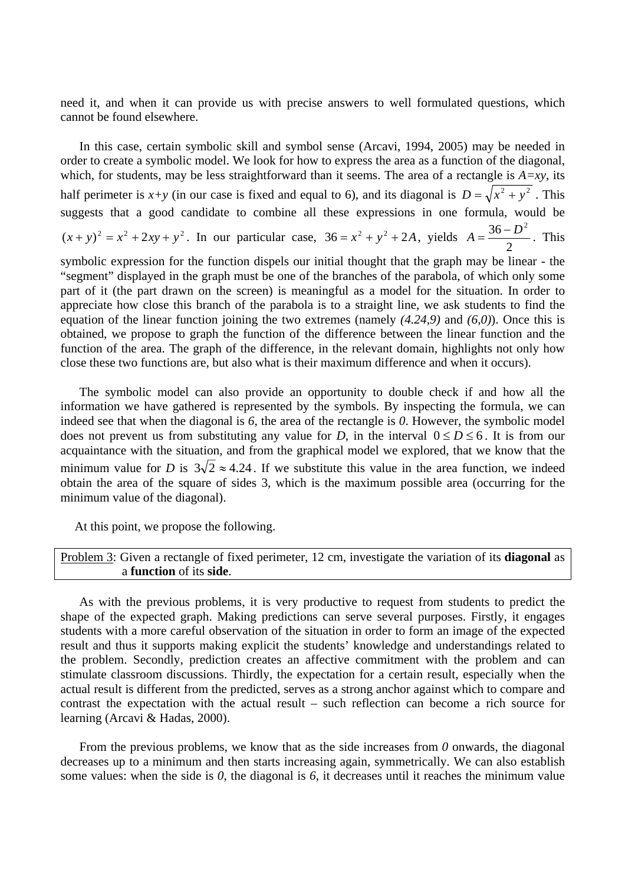need it, and when it can provide us with precise answers to well formulated questions, which cannot be found elsewhere.

In this case, certain symbolic skill and symbol sense (Arcavi, 1994, 2005) may be needed in order to create a symbolic model. We look for how to express the area as a function of the diagonal, which, for students, may be less straightforward than it seems. The area of a rectangle is *A=xy*, its half perimeter is  $x+y$  (in our case is fixed and equal to 6), and its diagonal is  $D = \sqrt{x^2 + y^2}$ . This suggests that a good candidate to combine all these expressions in one formula, would be  $(x + y)^2 = x^2 + 2xy + y^2$ . In our particular case,  $36 = x^2 + y^2 + 2A$ , yields 2  $A = \frac{36 - D^2}{4}$ . This

symbolic expression for the function dispels our initial thought that the graph may be linear - the "segment" displayed in the graph must be one of the branches of the parabola, of which only some part of it (the part drawn on the screen) is meaningful as a model for the situation. In order to appreciate how close this branch of the parabola is to a straight line, we ask students to find the equation of the linear function joining the two extremes (namely *(4.24,9)* and *(6,0)*). Once this is obtained, we propose to graph the function of the difference between the linear function and the function of the area. The graph of the difference, in the relevant domain, highlights not only how close these two functions are, but also what is their maximum difference and when it occurs).

The symbolic model can also provide an opportunity to double check if and how all the information we have gathered is represented by the symbols. By inspecting the formula, we can indeed see that when the diagonal is *6*, the area of the rectangle is *0*. However, the symbolic model does not prevent us from substituting any value for *D*, in the interval  $0 \le D \le 6$ . It is from our acquaintance with the situation, and from the graphical model we explored, that we know that the minimum value for *D* is  $3\sqrt{2} \approx 4.24$ . If we substitute this value in the area function, we indeed obtain the area of the square of sides 3, which is the maximum possible area (occurring for the minimum value of the diagonal).

At this point, we propose the following.

Problem 3: Given a rectangle of fixed perimeter, 12 cm, investigate the variation of its **diagonal** as a **function** of its **side**.

As with the previous problems, it is very productive to request from students to predict the shape of the expected graph. Making predictions can serve several purposes. Firstly, it engages students with a more careful observation of the situation in order to form an image of the expected result and thus it supports making explicit the students' knowledge and understandings related to the problem. Secondly, prediction creates an affective commitment with the problem and can stimulate classroom discussions. Thirdly, the expectation for a certain result, especially when the actual result is different from the predicted, serves as a strong anchor against which to compare and contrast the expectation with the actual result – such reflection can become a rich source for learning (Arcavi & Hadas, 2000).

From the previous problems, we know that as the side increases from *0* onwards, the diagonal decreases up to a minimum and then starts increasing again, symmetrically. We can also establish some values: when the side is *0*, the diagonal is *6*, it decreases until it reaches the minimum value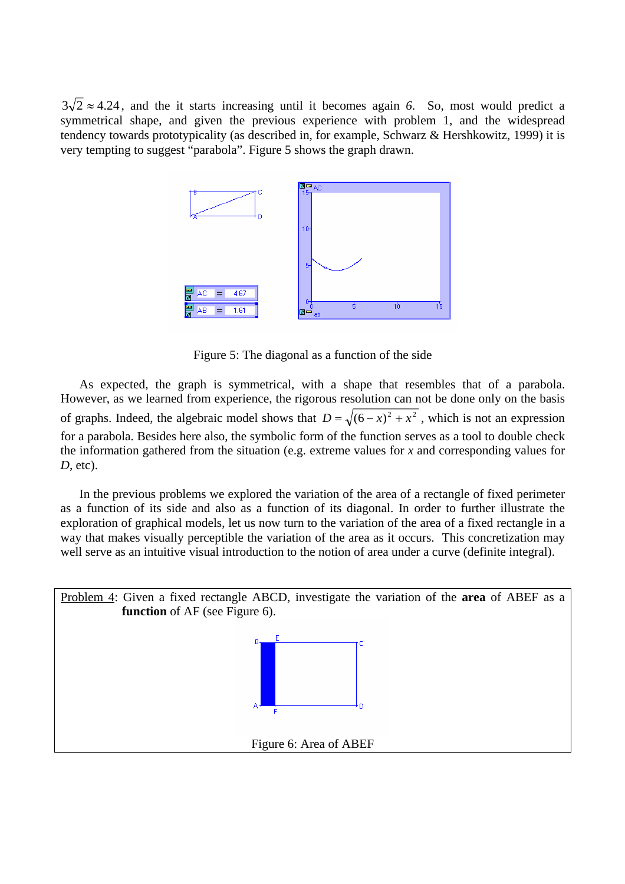$3\sqrt{2} \approx 4.24$ , and the it starts increasing until it becomes again 6. So, most would predict a symmetrical shape, and given the previous experience with problem 1, and the widespread tendency towards prototypicality (as described in, for example, Schwarz & Hershkowitz, 1999) it is very tempting to suggest "parabola". Figure 5 shows the graph drawn.



Figure 5: The diagonal as a function of the side

As expected, the graph is symmetrical, with a shape that resembles that of a parabola. However, as we learned from experience, the rigorous resolution can not be done only on the basis of graphs. Indeed, the algebraic model shows that  $D = \sqrt{(6-x)^2 + x^2}$ , which is not an expression for a parabola. Besides here also, the symbolic form of the function serves as a tool to double check the information gathered from the situation (e.g. extreme values for *x* and corresponding values for *D*, etc).

In the previous problems we explored the variation of the area of a rectangle of fixed perimeter as a function of its side and also as a function of its diagonal. In order to further illustrate the exploration of graphical models, let us now turn to the variation of the area of a fixed rectangle in a way that makes visually perceptible the variation of the area as it occurs. This concretization may well serve as an intuitive visual introduction to the notion of area under a curve (definite integral).

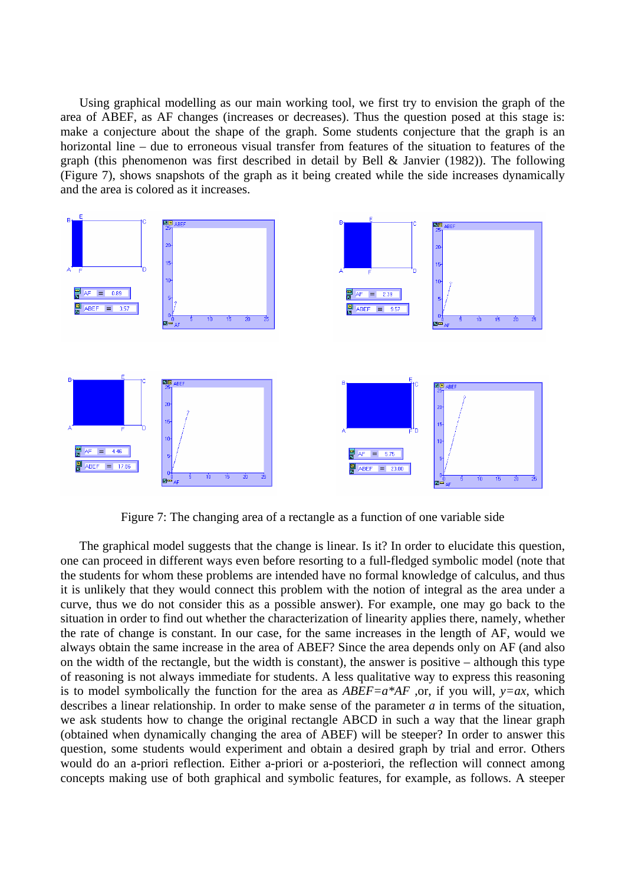Using graphical modelling as our main working tool, we first try to envision the graph of the area of ABEF, as AF changes (increases or decreases). Thus the question posed at this stage is: make a conjecture about the shape of the graph. Some students conjecture that the graph is an horizontal line – due to erroneous visual transfer from features of the situation to features of the graph (this phenomenon was first described in detail by Bell & Janvier (1982)). The following (Figure 7), shows snapshots of the graph as it being created while the side increases dynamically and the area is colored as it increases.



Figure 7: The changing area of a rectangle as a function of one variable side

The graphical model suggests that the change is linear. Is it? In order to elucidate this question, one can proceed in different ways even before resorting to a full-fledged symbolic model (note that the students for whom these problems are intended have no formal knowledge of calculus, and thus it is unlikely that they would connect this problem with the notion of integral as the area under a curve, thus we do not consider this as a possible answer). For example, one may go back to the situation in order to find out whether the characterization of linearity applies there, namely, whether the rate of change is constant. In our case, for the same increases in the length of AF, would we always obtain the same increase in the area of ABEF? Since the area depends only on AF (and also on the width of the rectangle, but the width is constant), the answer is positive – although this type of reasoning is not always immediate for students. A less qualitative way to express this reasoning is to model symbolically the function for the area as  $ABEF = a^*AF$ , or, if you will,  $y = ax$ , which describes a linear relationship. In order to make sense of the parameter *a* in terms of the situation, we ask students how to change the original rectangle ABCD in such a way that the linear graph (obtained when dynamically changing the area of ABEF) will be steeper? In order to answer this question, some students would experiment and obtain a desired graph by trial and error. Others would do an a-priori reflection. Either a-priori or a-posteriori, the reflection will connect among concepts making use of both graphical and symbolic features, for example, as follows. A steeper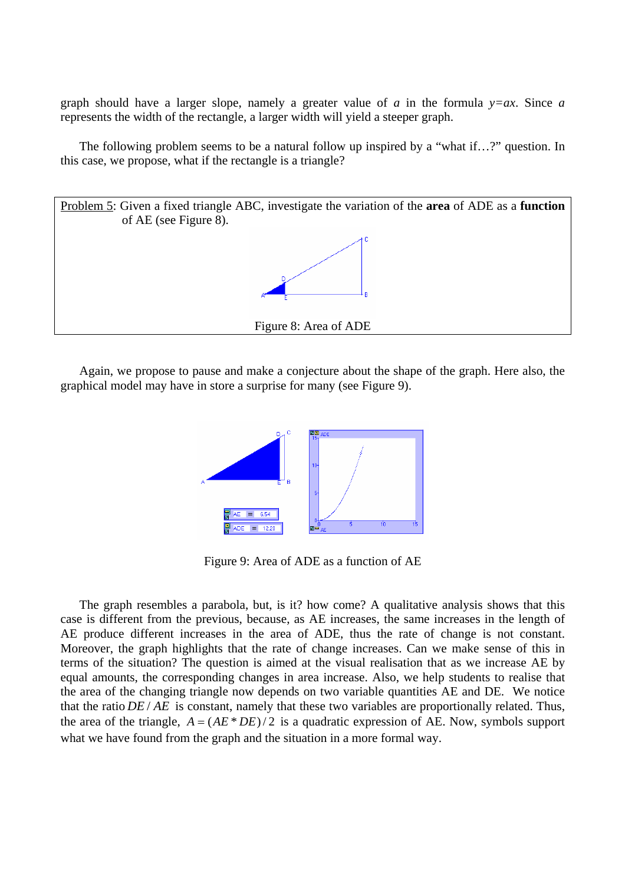graph should have a larger slope, namely a greater value of *a* in the formula  $y=ax$ . Since *a* represents the width of the rectangle, a larger width will yield a steeper graph.

The following problem seems to be a natural follow up inspired by a "what if...?" question. In this case, we propose, what if the rectangle is a triangle?



Again, we propose to pause and make a conjecture about the shape of the graph. Here also, the graphical model may have in store a surprise for many (see Figure 9).



Figure 9: Area of ADE as a function of AE

The graph resembles a parabola, but, is it? how come? A qualitative analysis shows that this case is different from the previous, because, as AE increases, the same increases in the length of AE produce different increases in the area of ADE, thus the rate of change is not constant. Moreover, the graph highlights that the rate of change increases. Can we make sense of this in terms of the situation? The question is aimed at the visual realisation that as we increase AE by equal amounts, the corresponding changes in area increase. Also, we help students to realise that the area of the changing triangle now depends on two variable quantities AE and DE. We notice that the ratio  $DE / AE$  is constant, namely that these two variables are proportionally related. Thus, the area of the triangle,  $A = (AE * DE)/2$  is a quadratic expression of AE. Now, symbols support what we have found from the graph and the situation in a more formal way.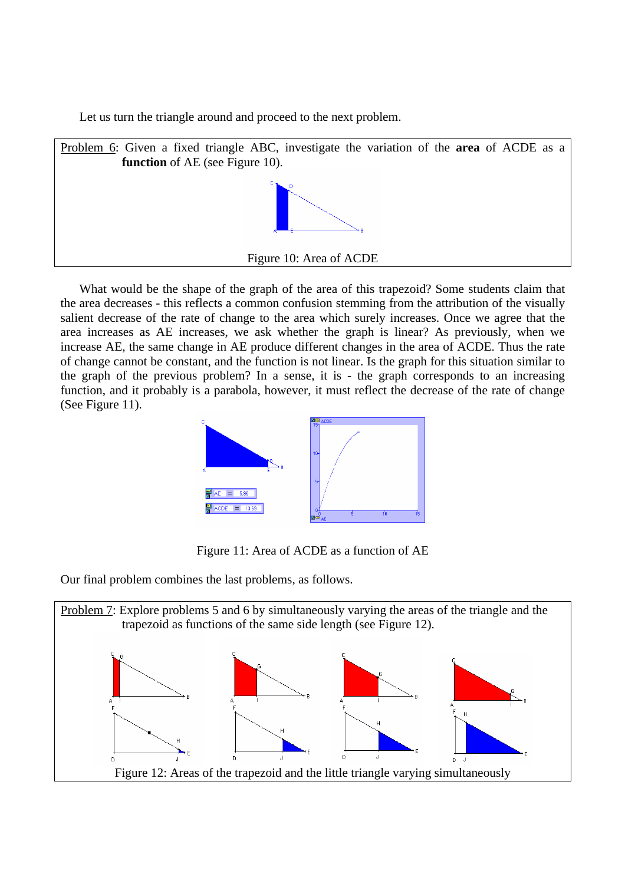Let us turn the triangle around and proceed to the next problem.



What would be the shape of the graph of the area of this trapezoid? Some students claim that the area decreases - this reflects a common confusion stemming from the attribution of the visually salient decrease of the rate of change to the area which surely increases. Once we agree that the area increases as AE increases, we ask whether the graph is linear? As previously, when we increase AE, the same change in AE produce different changes in the area of ACDE. Thus the rate of change cannot be constant, and the function is not linear. Is the graph for this situation similar to the graph of the previous problem? In a sense, it is - the graph corresponds to an increasing function, and it probably is a parabola, however, it must reflect the decrease of the rate of change (See Figure 11).



Figure 11: Area of ACDE as a function of AE

Our final problem combines the last problems, as follows.

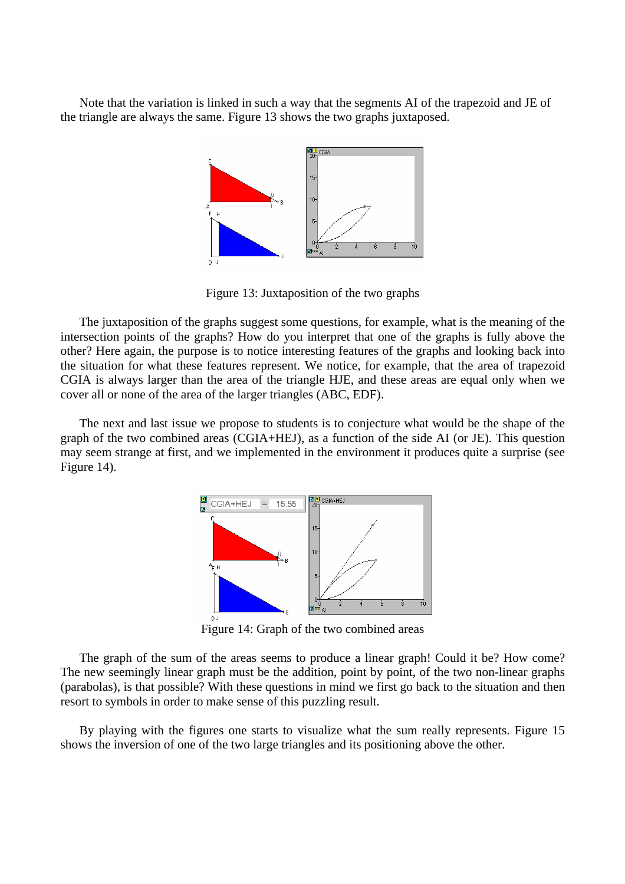Note that the variation is linked in such a way that the segments AI of the trapezoid and JE of the triangle are always the same. Figure 13 shows the two graphs juxtaposed.



Figure 13: Juxtaposition of the two graphs

The juxtaposition of the graphs suggest some questions, for example, what is the meaning of the intersection points of the graphs? How do you interpret that one of the graphs is fully above the other? Here again, the purpose is to notice interesting features of the graphs and looking back into the situation for what these features represent. We notice, for example, that the area of trapezoid CGIA is always larger than the area of the triangle HJE, and these areas are equal only when we cover all or none of the area of the larger triangles (ABC, EDF).

The next and last issue we propose to students is to conjecture what would be the shape of the graph of the two combined areas (CGIA+HEJ), as a function of the side AI (or JE). This question may seem strange at first, and we implemented in the environment it produces quite a surprise (see Figure 14).



Figure 14: Graph of the two combined areas

The graph of the sum of the areas seems to produce a linear graph! Could it be? How come? The new seemingly linear graph must be the addition, point by point, of the two non-linear graphs (parabolas), is that possible? With these questions in mind we first go back to the situation and then resort to symbols in order to make sense of this puzzling result.

By playing with the figures one starts to visualize what the sum really represents. Figure 15 shows the inversion of one of the two large triangles and its positioning above the other.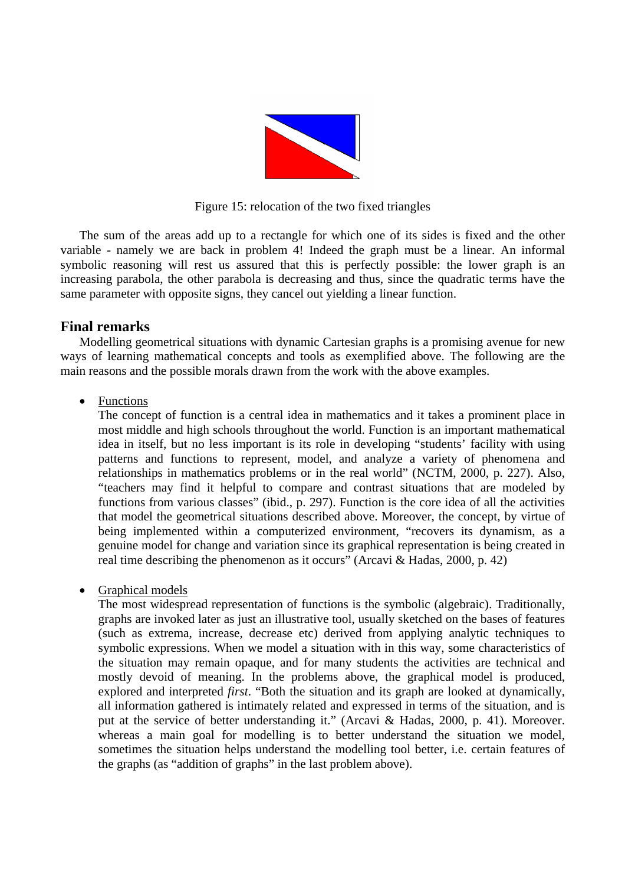

Figure 15: relocation of the two fixed triangles

The sum of the areas add up to a rectangle for which one of its sides is fixed and the other variable - namely we are back in problem 4! Indeed the graph must be a linear. An informal symbolic reasoning will rest us assured that this is perfectly possible: the lower graph is an increasing parabola, the other parabola is decreasing and thus, since the quadratic terms have the same parameter with opposite signs, they cancel out yielding a linear function.

## **Final remarks**

Modelling geometrical situations with dynamic Cartesian graphs is a promising avenue for new ways of learning mathematical concepts and tools as exemplified above. The following are the main reasons and the possible morals drawn from the work with the above examples.

• Functions

The concept of function is a central idea in mathematics and it takes a prominent place in most middle and high schools throughout the world. Function is an important mathematical idea in itself, but no less important is its role in developing "students' facility with using patterns and functions to represent, model, and analyze a variety of phenomena and relationships in mathematics problems or in the real world" (NCTM, 2000, p. 227). Also, "teachers may find it helpful to compare and contrast situations that are modeled by functions from various classes" (ibid., p. 297). Function is the core idea of all the activities that model the geometrical situations described above. Moreover, the concept, by virtue of being implemented within a computerized environment, "recovers its dynamism, as a genuine model for change and variation since its graphical representation is being created in real time describing the phenomenon as it occurs" (Arcavi & Hadas, 2000, p. 42)

### • Graphical models

The most widespread representation of functions is the symbolic (algebraic). Traditionally, graphs are invoked later as just an illustrative tool, usually sketched on the bases of features (such as extrema, increase, decrease etc) derived from applying analytic techniques to symbolic expressions. When we model a situation with in this way, some characteristics of the situation may remain opaque, and for many students the activities are technical and mostly devoid of meaning. In the problems above, the graphical model is produced, explored and interpreted *first*. "Both the situation and its graph are looked at dynamically, all information gathered is intimately related and expressed in terms of the situation, and is put at the service of better understanding it." (Arcavi & Hadas, 2000, p. 41). Moreover. whereas a main goal for modelling is to better understand the situation we model, sometimes the situation helps understand the modelling tool better, i.e. certain features of the graphs (as "addition of graphs" in the last problem above).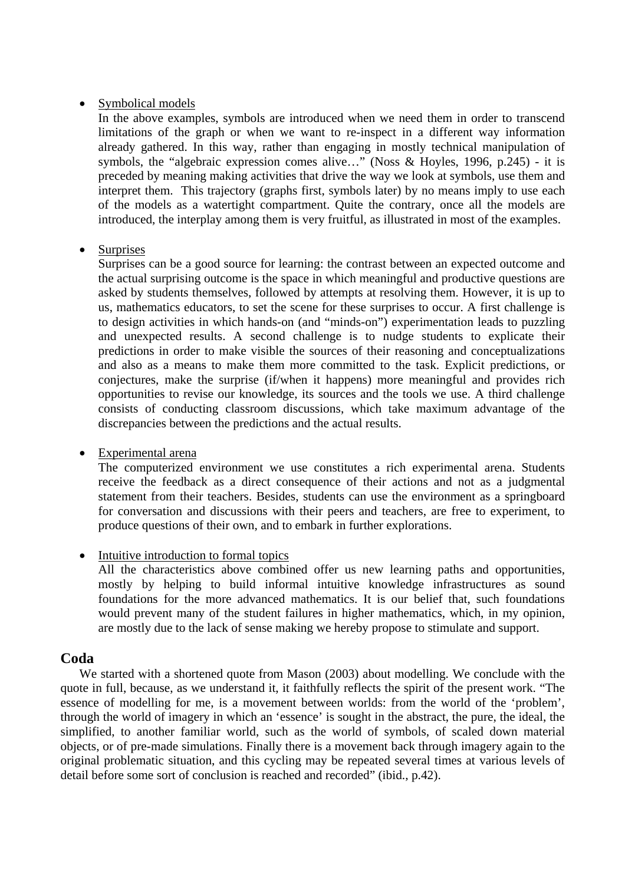#### • Symbolical models

In the above examples, symbols are introduced when we need them in order to transcend limitations of the graph or when we want to re-inspect in a different way information already gathered. In this way, rather than engaging in mostly technical manipulation of symbols, the "algebraic expression comes alive…" (Noss & Hoyles, 1996, p.245) - it is preceded by meaning making activities that drive the way we look at symbols, use them and interpret them. This trajectory (graphs first, symbols later) by no means imply to use each of the models as a watertight compartment. Quite the contrary, once all the models are introduced, the interplay among them is very fruitful, as illustrated in most of the examples.

#### • Surprises

Surprises can be a good source for learning: the contrast between an expected outcome and the actual surprising outcome is the space in which meaningful and productive questions are asked by students themselves, followed by attempts at resolving them. However, it is up to us, mathematics educators, to set the scene for these surprises to occur. A first challenge is to design activities in which hands-on (and "minds-on") experimentation leads to puzzling and unexpected results. A second challenge is to nudge students to explicate their predictions in order to make visible the sources of their reasoning and conceptualizations and also as a means to make them more committed to the task. Explicit predictions, or conjectures, make the surprise (if/when it happens) more meaningful and provides rich opportunities to revise our knowledge, its sources and the tools we use. A third challenge consists of conducting classroom discussions, which take maximum advantage of the discrepancies between the predictions and the actual results.

#### • Experimental arena

The computerized environment we use constitutes a rich experimental arena. Students receive the feedback as a direct consequence of their actions and not as a judgmental statement from their teachers. Besides, students can use the environment as a springboard for conversation and discussions with their peers and teachers, are free to experiment, to produce questions of their own, and to embark in further explorations.

### • Intuitive introduction to formal topics

All the characteristics above combined offer us new learning paths and opportunities, mostly by helping to build informal intuitive knowledge infrastructures as sound foundations for the more advanced mathematics. It is our belief that, such foundations would prevent many of the student failures in higher mathematics, which, in my opinion, are mostly due to the lack of sense making we hereby propose to stimulate and support.

## **Coda**

 We started with a shortened quote from Mason (2003) about modelling. We conclude with the quote in full, because, as we understand it, it faithfully reflects the spirit of the present work. "The essence of modelling for me, is a movement between worlds: from the world of the 'problem', through the world of imagery in which an 'essence' is sought in the abstract, the pure, the ideal, the simplified, to another familiar world, such as the world of symbols, of scaled down material objects, or of pre-made simulations. Finally there is a movement back through imagery again to the original problematic situation, and this cycling may be repeated several times at various levels of detail before some sort of conclusion is reached and recorded" (ibid., p.42).